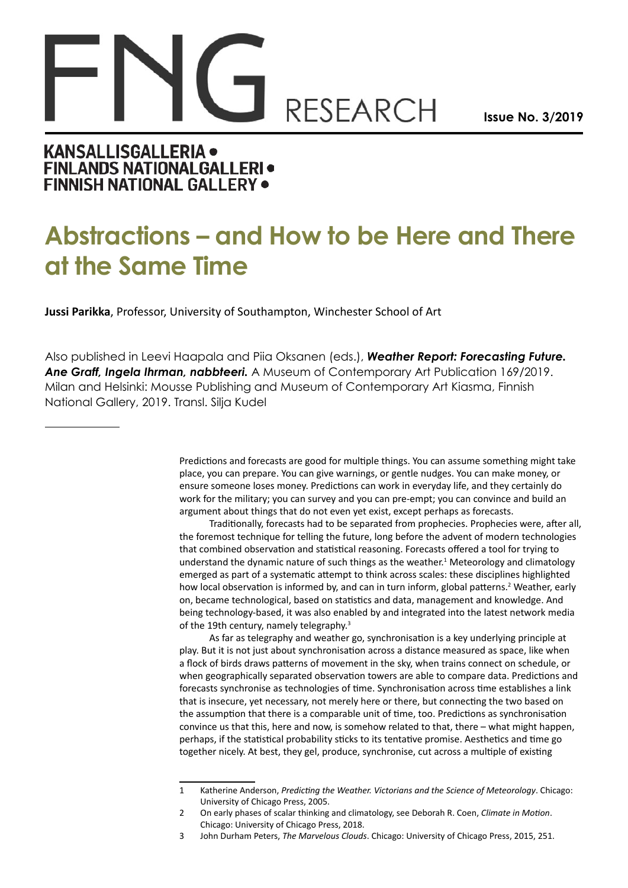## **RESEARCH**

**Issue No. 3/2019**

## **KANSALLISGALLERIA . FINLANDS NATIONALGALLERI · FINNISH NATIONAL GALLERY .**

## **Abstractions – and How to be Here and There at the Same Time**

**Jussi Parikka**, Professor, University of Southampton, Winchester School of Art

Also published in Leevi Haapala and Piia Oksanen (eds.), *Weather Report: Forecasting Future. Ane Graff, Ingela Ihrman, nabbteeri.* A Museum of Contemporary Art Publication 169/2019. Milan and Helsinki: Mousse Publishing and Museum of Contemporary Art Kiasma, Finnish National Gallery, 2019. Transl. Silja Kudel

> Predictions and forecasts are good for multiple things. You can assume something might take place, you can prepare. You can give warnings, or gentle nudges. You can make money, or ensure someone loses money. Predictions can work in everyday life, and they certainly do work for the military; you can survey and you can pre-empt; you can convince and build an argument about things that do not even yet exist, except perhaps as forecasts.

Traditionally, forecasts had to be separated from prophecies. Prophecies were, after all, the foremost technique for telling the future, long before the advent of modern technologies that combined observation and statistical reasoning. Forecasts offered a tool for trying to understand the dynamic nature of such things as the weather.<sup>1</sup> Meteorology and climatology emerged as part of a systematic attempt to think across scales: these disciplines highlighted how local observation is informed by, and can in turn inform, global patterns.<sup>2</sup> Weather, early on, became technological, based on statistics and data, management and knowledge. And being technology-based, it was also enabled by and integrated into the latest network media of the 19th century, namely telegraphy.<sup>3</sup>

As far as telegraphy and weather go, synchronisation is a key underlying principle at play. But it is not just about synchronisation across a distance measured as space, like when a flock of birds draws patterns of movement in the sky, when trains connect on schedule, or when geographically separated observation towers are able to compare data. Predictions and forecasts synchronise as technologies of time. Synchronisation across time establishes a link that is insecure, yet necessary, not merely here or there, but connecting the two based on the assumption that there is a comparable unit of time, too. Predictions as synchronisation convince us that this, here and now, is somehow related to that, there – what might happen, perhaps, if the statistical probability sticks to its tentative promise. Aesthetics and time go together nicely. At best, they gel, produce, synchronise, cut across a multiple of existing

<sup>1</sup> Katherine Anderson, *Predicting the Weather. Victorians and the Science of Meteorology*. Chicago: University of Chicago Press, 2005.

<sup>2</sup> On early phases of scalar thinking and climatology, see Deborah R. Coen, *Climate in Motion*. Chicago: University of Chicago Press, 2018.

<sup>3</sup> John Durham Peters, *The Marvelous Clouds*. Chicago: University of Chicago Press, 2015, 251.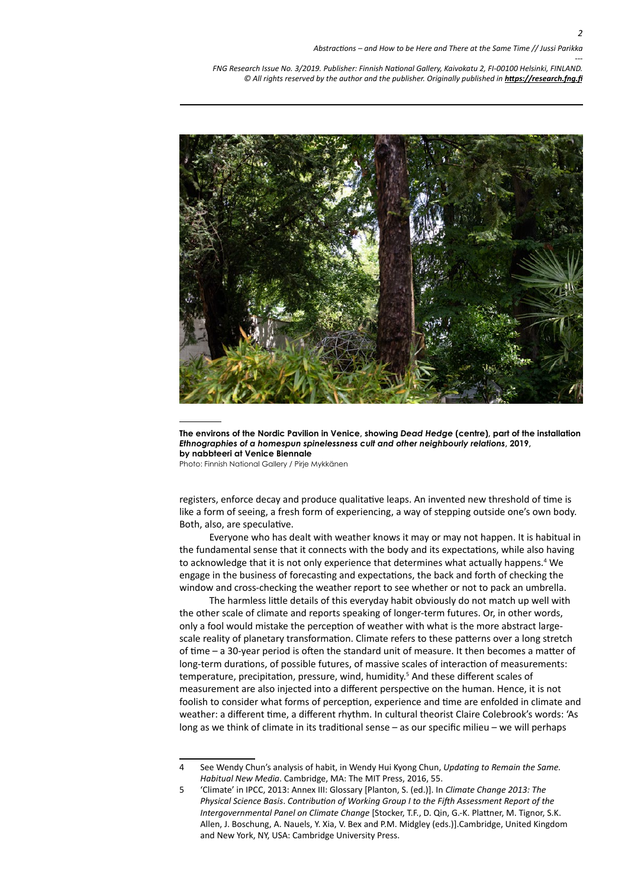*--- FNG Research Issue No. 3/2019. Publisher: Finnish National Gallery, Kaivokatu 2, FI-00100 Helsinki, FINLAND.* © All rights reserved by the author and the publisher. Originally published in **<https://research.fng.fi>** 



**The environs of the Nordic Pavilion in Venice, showing** *Dead Hedge* **(centre), part of the installation**  *Ethnographies of a homespun spinelessness cult and other neighbourly relations***, 2019, by nabbteeri at Venice Biennale**

Photo: Finnish National Gallery / Pirje Mykkänen

registers, enforce decay and produce qualitative leaps. An invented new threshold of time is like a form of seeing, a fresh form of experiencing, a way of stepping outside one's own body. Both, also, are speculative.

Everyone who has dealt with weather knows it may or may not happen. It is habitual in the fundamental sense that it connects with the body and its expectations, while also having to acknowledge that it is not only experience that determines what actually happens.<sup>4</sup> We engage in the business of forecasting and expectations, the back and forth of checking the window and cross-checking the weather report to see whether or not to pack an umbrella.

The harmless little details of this everyday habit obviously do not match up well with the other scale of climate and reports speaking of longer-term futures. Or, in other words, only a fool would mistake the perception of weather with what is the more abstract largescale reality of planetary transformation. Climate refers to these patterns over a long stretch of time – a 30-year period is often the standard unit of measure. It then becomes a matter of long-term durations, of possible futures, of massive scales of interaction of measurements: temperature, precipitation, pressure, wind, humidity.<sup>5</sup> And these different scales of measurement are also injected into a different perspective on the human. Hence, it is not foolish to consider what forms of perception, experience and time are enfolded in climate and weather: a different time, a different rhythm. In cultural theorist Claire Colebrook's words: 'As long as we think of climate in its traditional sense – as our specific milieu – we will perhaps

<sup>4</sup> See Wendy Chun's analysis of habit, in Wendy Hui Kyong Chun, *Updating to Remain the Same. Habitual New Media*. Cambridge, MA: The MIT Press, 2016, 55.

<sup>5</sup> 'Climate' in IPCC, 2013: Annex III: Glossary [Planton, S. (ed.)]. In *Climate Change 2013: The Physical Science Basis*. *Contribution of Working Group I to the Fifth Assessment Report of the Intergovernmental Panel on Climate Change* [Stocker, T.F., D. Qin, G.-K. Plattner, M. Tignor, S.K. Allen, J. Boschung, A. Nauels, Y. Xia, V. Bex and P.M. Midgley (eds.)].Cambridge, United Kingdom and New York, NY, USA: Cambridge University Press.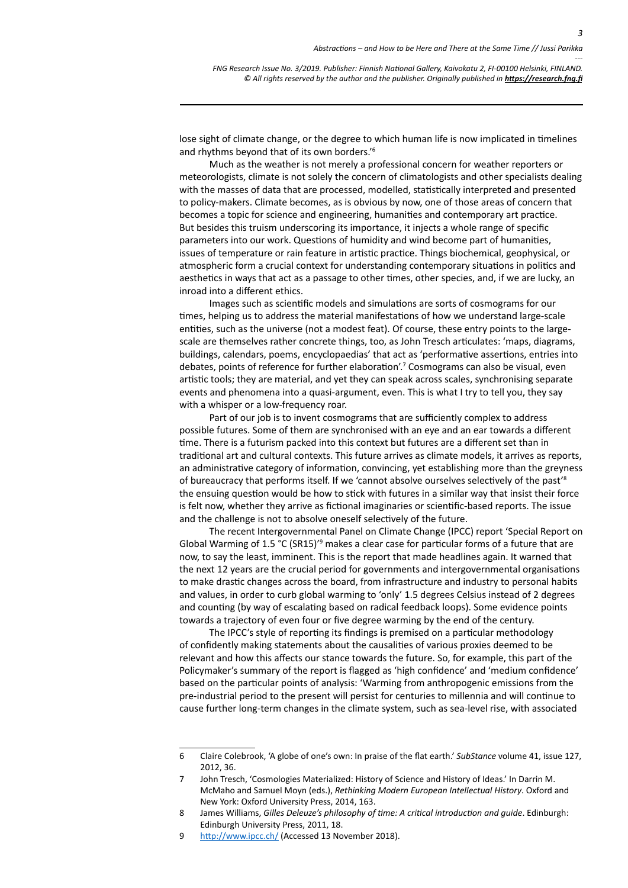*---*

*3*

*FNG Research Issue No. 3/2019. Publisher: Finnish National Gallery, Kaivokatu 2, FI-00100 Helsinki, FINLAND.* © All rights reserved by the author and the publisher. Originally published in **<https://research.fng.fi>** 

lose sight of climate change, or the degree to which human life is now implicated in timelines and rhythms beyond that of its own borders.'6

Much as the weather is not merely a professional concern for weather reporters or meteorologists, climate is not solely the concern of climatologists and other specialists dealing with the masses of data that are processed, modelled, statistically interpreted and presented to policy-makers. Climate becomes, as is obvious by now, one of those areas of concern that becomes a topic for science and engineering, humanities and contemporary art practice. But besides this truism underscoring its importance, it injects a whole range of specific parameters into our work. Questions of humidity and wind become part of humanities, issues of temperature or rain feature in artistic practice. Things biochemical, geophysical, or atmospheric form a crucial context for understanding contemporary situations in politics and aesthetics in ways that act as a passage to other times, other species, and, if we are lucky, an inroad into a different ethics.

Images such as scientific models and simulations are sorts of cosmograms for our times, helping us to address the material manifestations of how we understand large-scale entities, such as the universe (not a modest feat). Of course, these entry points to the largescale are themselves rather concrete things, too, as John Tresch articulates: 'maps, diagrams, buildings, calendars, poems, encyclopaedias' that act as 'performative assertions, entries into debates, points of reference for further elaboration'.<sup>7</sup> Cosmograms can also be visual, even artistic tools; they are material, and yet they can speak across scales, synchronising separate events and phenomena into a quasi-argument, even. This is what I try to tell you, they say with a whisper or a low-frequency roar.

Part of our job is to invent cosmograms that are sufficiently complex to address possible futures. Some of them are synchronised with an eye and an ear towards a different time. There is a futurism packed into this context but futures are a different set than in traditional art and cultural contexts. This future arrives as climate models, it arrives as reports, an administrative category of information, convincing, yet establishing more than the greyness of bureaucracy that performs itself. If we 'cannot absolve ourselves selectively of the past'8 the ensuing question would be how to stick with futures in a similar way that insist their force is felt now, whether they arrive as fictional imaginaries or scientific-based reports. The issue and the challenge is not to absolve oneself selectively of the future.

The recent Intergovernmental Panel on Climate Change (IPCC) report 'Special Report on Global Warming of  $1.5 \text{ °C}$  (SR15)<sup> $\text{'}\text{9}$ </sup> makes a clear case for particular forms of a future that are now, to say the least, imminent. This is the report that made headlines again. It warned that the next 12 years are the crucial period for governments and intergovernmental organisations to make drastic changes across the board, from infrastructure and industry to personal habits and values, in order to curb global warming to 'only' 1.5 degrees Celsius instead of 2 degrees and counting (by way of escalating based on radical feedback loops). Some evidence points towards a trajectory of even four or five degree warming by the end of the century.

The IPCC's style of reporting its findings is premised on a particular methodology of confidently making statements about the causalities of various proxies deemed to be relevant and how this affects our stance towards the future. So, for example, this part of the Policymaker's summary of the report is flagged as 'high confidence' and 'medium confidence' based on the particular points of analysis: 'Warming from anthropogenic emissions from the pre-industrial period to the present will persist for centuries to millennia and will continue to cause further long-term changes in the climate system, such as sea-level rise, with associated

<sup>6</sup> Claire Colebrook, 'A globe of one's own: In praise of the flat earth.' *SubStance* volume 41, issue 127, 2012, 36.

<sup>7</sup> John Tresch, 'Cosmologies Materialized: History of Science and History of Ideas.' In Darrin M. McMaho and Samuel Moyn (eds.), *Rethinking Modern European Intellectual History*. Oxford and New York: Oxford University Press, 2014, 163.

<sup>8</sup> James Williams, *Gilles Deleuze's philosophy of time: A critical introduction and guide*. Edinburgh: Edinburgh University Press, 2011, 18.

<sup>9</sup> <http://www.ipcc.ch/> (Accessed 13 November 2018).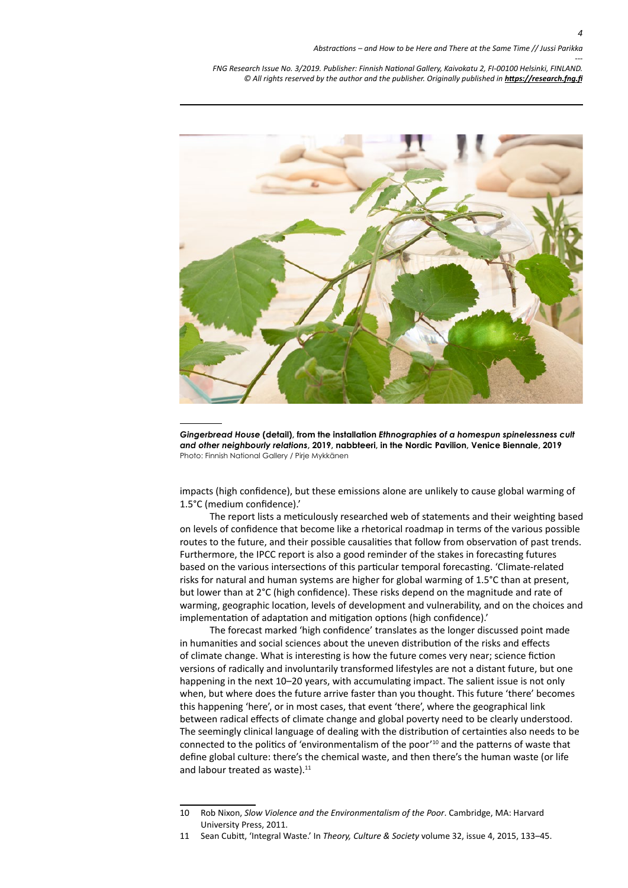*--- FNG Research Issue No. 3/2019. Publisher: Finnish National Gallery, Kaivokatu 2, FI-00100 Helsinki, FINLAND.* © All rights reserved by the author and the publisher. Originally published in **<https://research.fng.fi>** 



*Gingerbread House* **(detail), from the installation** *Ethnographies of a homespun spinelessness cult and other neighbourly relations***, 2019, nabbteeri, in the Nordic Pavilion, Venice Biennale, 2019** Photo: Finnish National Gallery / Pirje Mykkänen

impacts (high confidence), but these emissions alone are unlikely to cause global warming of 1.5°C (medium confidence).'

The report lists a meticulously researched web of statements and their weighting based on levels of confidence that become like a rhetorical roadmap in terms of the various possible routes to the future, and their possible causalities that follow from observation of past trends. Furthermore, the IPCC report is also a good reminder of the stakes in forecasting futures based on the various intersections of this particular temporal forecasting. 'Climate-related risks for natural and human systems are higher for global warming of 1.5°C than at present, but lower than at 2°C (high confidence). These risks depend on the magnitude and rate of warming, geographic location, levels of development and vulnerability, and on the choices and implementation of adaptation and mitigation options (high confidence).'

The forecast marked 'high confidence' translates as the longer discussed point made in humanities and social sciences about the uneven distribution of the risks and effects of climate change. What is interesting is how the future comes very near; science fiction versions of radically and involuntarily transformed lifestyles are not a distant future, but one happening in the next 10–20 years, with accumulating impact. The salient issue is not only when, but where does the future arrive faster than you thought. This future 'there' becomes this happening 'here', or in most cases, that event 'there', where the geographical link between radical effects of climate change and global poverty need to be clearly understood. The seemingly clinical language of dealing with the distribution of certainties also needs to be connected to the politics of 'environmentalism of the poor'10 and the patterns of waste that define global culture: there's the chemical waste, and then there's the human waste (or life and labour treated as waste).<sup>11</sup>

<sup>10</sup> Rob Nixon, *Slow Violence and the Environmentalism of the Poor*. Cambridge, MA: Harvard University Press, 2011.

<sup>11</sup> Sean Cubitt, 'Integral Waste.' In *Theory, Culture & Society* volume 32, issue 4, 2015, 133–45.